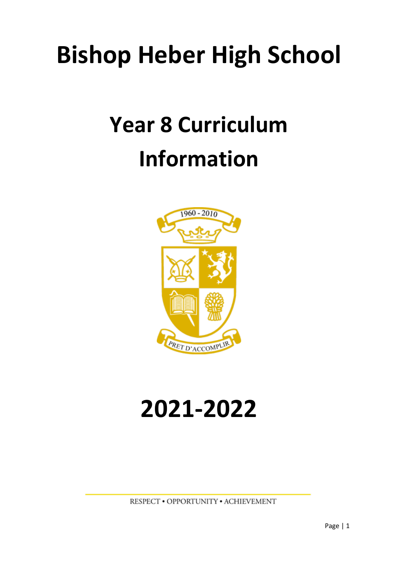## **Bishop Heber High School**

# **Year 8 Curriculum Information**



# **2021-2022**

RESPECT . OPPORTUNITY . ACHIEVEMENT